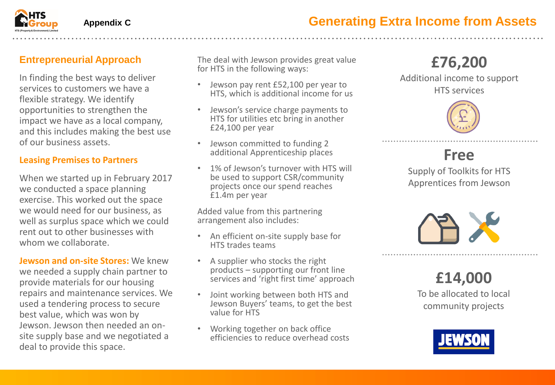

#### **Appendix C**

### **Entrepreneurial Approach**

In finding the best ways to deliver services to customers we have a flexible strategy. We identify opportunities to strengthen the impact we have as a local company, and this includes making the best use of our business assets.

#### **Leasing Premises to Partners**

When we started up in February 2017 we conducted a space planning exercise. This worked out the space we would need for our business, as well as surplus space which we could rent out to other businesses with whom we collaborate.

**Jewson and on-site Stores:** We knew we needed a supply chain partner to provide materials for our housing repairs and maintenance services. We used a tendering process to secure best value, which was won by Jewson. Jewson then needed an onsite supply base and we negotiated a deal to provide this space.

The deal with Jewson provides great value for HTS in the following ways:

- Jewson pay rent £52,100 per year to HTS, which is additional income for us
- Jewson's service charge payments to HTS for utilities etc bring in another £24,100 per year
- Jewson committed to funding 2 additional Apprenticeship places
- 1% of Jewson's turnover with HTS will be used to support CSR/community projects once our spend reaches £1.4m per year

Added value from this partnering arrangement also includes:

- An efficient on-site supply base for HTS trades teams
- A supplier who stocks the right products – supporting our front line services and 'right first time' approach
- Joint working between both HTS and Jewson Buyers' teams, to get the best value for HTS
- Working together on back office efficiencies to reduce overhead costs

# **£76,200**

Additional income to support HTS services



### **Free**

Supply of Toolkits for HTS Apprentices from Jewson



**£14,000** To be allocated to local community projects